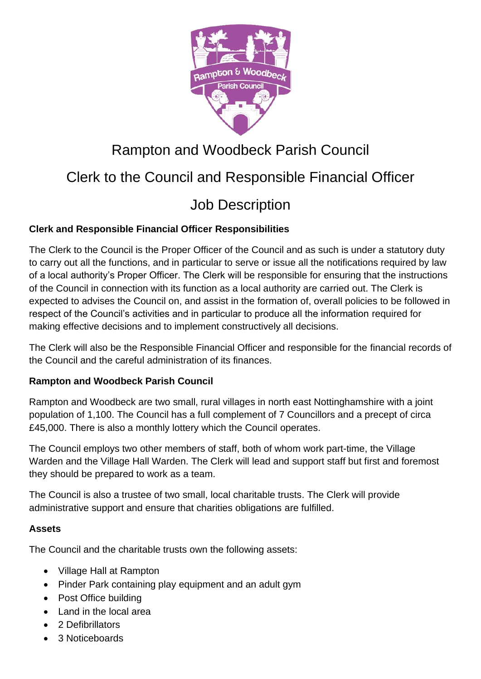

# Rampton and Woodbeck Parish Council

# Clerk to the Council and Responsible Financial Officer

# Job Description

## **Clerk and Responsible Financial Officer Responsibilities**

The Clerk to the Council is the Proper Officer of the Council and as such is under a statutory duty to carry out all the functions, and in particular to serve or issue all the notifications required by law of a local authority's Proper Officer. The Clerk will be responsible for ensuring that the instructions of the Council in connection with its function as a local authority are carried out. The Clerk is expected to advises the Council on, and assist in the formation of, overall policies to be followed in respect of the Council's activities and in particular to produce all the information required for making effective decisions and to implement constructively all decisions.

The Clerk will also be the Responsible Financial Officer and responsible for the financial records of the Council and the careful administration of its finances.

### **Rampton and Woodbeck Parish Council**

Rampton and Woodbeck are two small, rural villages in north east Nottinghamshire with a joint population of 1,100. The Council has a full complement of 7 Councillors and a precept of circa £45,000. There is also a monthly lottery which the Council operates.

The Council employs two other members of staff, both of whom work part-time, the Village Warden and the Village Hall Warden. The Clerk will lead and support staff but first and foremost they should be prepared to work as a team.

The Council is also a trustee of two small, local charitable trusts. The Clerk will provide administrative support and ensure that charities obligations are fulfilled.

#### **Assets**

The Council and the charitable trusts own the following assets:

- Village Hall at Rampton
- Pinder Park containing play equipment and an adult gym
- Post Office building
- Land in the local area
- 2 Defibrillators
- 3 Noticeboards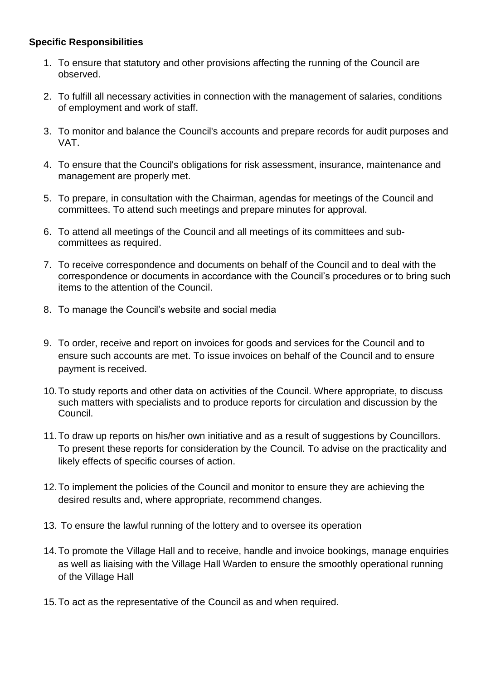### **Specific Responsibilities**

- 1. To ensure that statutory and other provisions affecting the running of the Council are observed.
- 2. To fulfill all necessary activities in connection with the management of salaries, conditions of employment and work of staff.
- 3. To monitor and balance the Council's accounts and prepare records for audit purposes and VAT.
- 4. To ensure that the Council's obligations for risk assessment, insurance, maintenance and management are properly met.
- 5. To prepare, in consultation with the Chairman, agendas for meetings of the Council and committees. To attend such meetings and prepare minutes for approval.
- 6. To attend all meetings of the Council and all meetings of its committees and subcommittees as required.
- 7. To receive correspondence and documents on behalf of the Council and to deal with the correspondence or documents in accordance with the Council's procedures or to bring such items to the attention of the Council.
- 8. To manage the Council's website and social media
- 9. To order, receive and report on invoices for goods and services for the Council and to ensure such accounts are met. To issue invoices on behalf of the Council and to ensure payment is received.
- 10.To study reports and other data on activities of the Council. Where appropriate, to discuss such matters with specialists and to produce reports for circulation and discussion by the Council.
- 11.To draw up reports on his/her own initiative and as a result of suggestions by Councillors. To present these reports for consideration by the Council. To advise on the practicality and likely effects of specific courses of action.
- 12.To implement the policies of the Council and monitor to ensure they are achieving the desired results and, where appropriate, recommend changes.
- 13. To ensure the lawful running of the lottery and to oversee its operation
- 14.To promote the Village Hall and to receive, handle and invoice bookings, manage enquiries as well as liaising with the Village Hall Warden to ensure the smoothly operational running of the Village Hall
- 15.To act as the representative of the Council as and when required.